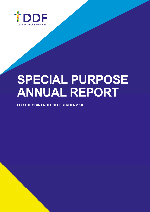

# **SPECIAL PURPOSE ANNUAL REPORT**

**FOR THE YEAR ENDED 31 DECEMBER 2020**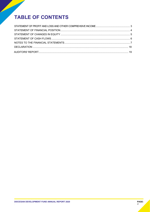# **TABLE OF CONTENTS**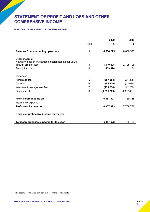# **STATEMENT OF PROFIT AND LOSS AND OTHER COMPREHSIVE INCOME**

#### **FOR THE YEAR ENDED 31 DECEMBER 2020**

|                                                         |      | 2020          | 2019        |
|---------------------------------------------------------|------|---------------|-------------|
|                                                         | Note | S             | \$          |
| Revenue from continuing operations                      | 3    | 6,686,225     | 8,806,593   |
| Other income:                                           |      |               |             |
| Net gain/(loss) on investments designated as fair value |      |               |             |
| through profit or loss                                  | 4    | 1,110,408     | 2,725,706   |
| Sundry income                                           | 4    | 459,590       | 1,174       |
| <b>Expenses:</b>                                        |      |               |             |
| Administration                                          | 5    | (567, 953)    | (521, 305)  |
| General                                                 | 6    | (56, 230)     | (13,080)    |
| Investment management fee                               | 7    | (178, 654)    | (142, 269)  |
| Finance costs                                           | 8    | (1, 395, 763) | (3,097,031) |
| Profit before income tax                                |      | 6,057,623     | 7,759,788   |
| Income tax expense                                      |      |               |             |
| Profit after income tax                                 |      | 6,057,623     | 7,759,788   |
| Other comprehensive income for the year                 |      |               |             |
| Total comprehensive income for the year                 |      | 6,057,623     | 7,759,788   |

The accompanying notes form part of these financial statements.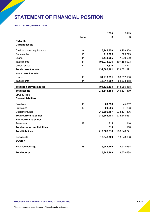# **STATEMENT OF FINANCIAL POSITION**

#### **AS AT 31 DECEMBER 2020**

|                                      |             | 2020        | 2019        |
|--------------------------------------|-------------|-------------|-------------|
|                                      | <b>Note</b> | S           | \$          |
| <b>ASSETS</b>                        |             |             |             |
| <b>Current assets</b>                |             |             |             |
| Cash and cash equivalents            | 9           | 16,141,350  | 13,168,958  |
| Receivables                          | 10          | 718,925     | 675,793     |
| Loans                                | 11          | 8,449,965   | 7,239,630   |
| Investments                          | 11          | 106,073,925 | 107,483,993 |
| Other assets                         | 12          | 2,826       | 3,517       |
| <b>Total current assets</b>          |             | 131,386,991 | 128,571,891 |
| <b>Non-current assets</b>            |             |             |             |
| Loans                                | 13          | 54,213,291  | 63,562,130  |
| Investments                          | 14          | 49,912,902  | 54,693,358  |
|                                      |             |             |             |
| <b>Total non-current assets</b>      |             | 104,126,193 | 118,255,488 |
| <b>Total assets</b>                  |             | 235,513,184 | 246,827,379 |
| <b>LIABILITIES</b>                   |             |             |             |
| <b>Current liabilities</b>           |             |             |             |
| Payables                             | 15          | 69,358      | 45,852      |
| Provisions                           | 16          | 99,556      | 81,283      |
| <b>Customer funds</b>                |             | 219,396,487 | 233,121,496 |
| <b>Total current liabilities</b>     |             | 219,565,401 | 233,248,631 |
| <b>Non-current liabilities</b>       |             |             |             |
| Provisions                           | 17          | 815         | 110         |
| <b>Total non-current liabilities</b> |             | 815         | 110         |
| <b>Total liabilities</b>             |             | 219,566,216 | 233,248,741 |
|                                      |             |             |             |
| <b>Net assets</b>                    |             | 15,946,969  | 13,578,638  |
| <b>EQUITY</b>                        |             |             |             |
| Retained earnings                    | 18          | 15,946,969  | 13,578,638  |
| <b>Total equity</b>                  |             | 15,946,969  | 13,578,638  |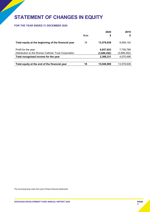# **STATEMENT OF CHANGES IN EQUITY**

#### **FOR THE YEAR ENDED 31 DECEMBER 2020**

|                                                      | Note | 2020        | 2019        |
|------------------------------------------------------|------|-------------|-------------|
|                                                      |      | \$          | \$          |
| Total equity at the beginning of the financial year  | 18   | 13,578,638  | 9,508,142   |
| Profit for the year                                  |      | 6,057,623   | 7,759,788   |
| Distribution to the Roman Catholic Trust Corporation |      | (3,689,292) | (3,689,292) |
| Total recognised income for the year                 |      | 2,368,331   | 4,070,496   |
|                                                      |      |             |             |
| Total equity at the end of the financial year        | 18   | 15,946,969  | 13,578,638  |

The accompanying notes form part of these financial statements.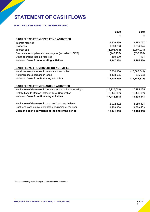# **STATEMENT OF CASH FLOWS**

#### **FOR THE YEAR ENDED 31 DECEMBER 2020**

|                                                            | 2020           | 2019           |
|------------------------------------------------------------|----------------|----------------|
|                                                            | \$             | S              |
| <b>CASH FLOWS FROM OPERATING ACTIVITIES</b>                |                |                |
| Interest received                                          | 5,826,269      | 8,182,767      |
| <b>Dividends</b>                                           | 1,000,298      | 1,034,624      |
| Interest paid                                              | (1, 395, 763)  | (3,097,031)    |
| Payments to suppliers and employees (inclusive of GST)     | (943, 136)     | (656, 978)     |
| Other operating income received                            | 459,590        | 1,174          |
| Net cash flows from operating activities                   | 4,947,258      | 5,464,556      |
| <b>CASH FLOWS FROM INVESTING ACTIVITIES</b>                |                |                |
| Net (increase)/decrease in investment securities           | 7,300,930      | (15, 385, 548) |
| Net (increase)/decrease in loans                           | 8,138,505      | 595,583        |
| Net cash flows from investing activities                   | 15,439,435     | (14, 789, 875) |
| <b>CASH FLOWS FROM FINANCING ACTIVITIES</b>                |                |                |
| Net increase/(decrease) in debentures and other borrowings | (13,725,009)   | 17,295,135     |
| Distributions to Roman Catholic Trust Corporation          | (3,689,292)    | (3,689,292)    |
| Net cash flows from financing activities                   | (17, 414, 301) | 13,605,843     |
| Net increase/(decrease) in cash and cash equivalents       | 2,972,392      | 4,280,524      |
| Cash and cash equivalents at the beginning of the year     | 13,168,958     | 8,888,433      |
| Cash and cash equivalents at the end of the period         | 16,141,350     | 13,168,958     |

The accompanying notes form part of these financial statements.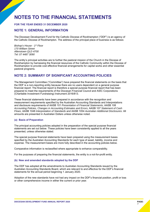# **NOTES TO THE FINANCIAL STATEMENTS**

#### **FOR THE YEAR ENDED 31 DECEMBER 2020**

#### **NOTE 1: GENERAL INFORMATION**

The Diocesan Development Fund for the Catholic Diocese of Rockhampton ("DDF") is an agency of the Catholic Diocese of Rockhampton. The address of the principal place of business is as follows:

*Bishop's House - 1st Floor 170 William Street Allenstown QLD 4700 Tel: 07 4487 3090* 

The entity's principal activities are to further the pastoral mission of the Church in the Diocese of Rockhampton by harnessing the financial resources of the Catholic Community within the Diocese of Rockhampton to provide cost effective financial arrangements for capital works and other essential pastoral programs.

### **NOTE 2: SUMMARY OF SIGNIFICANT ACCOUNTING POLICIES**

The Management Committee ("Committee") have prepared the financial statements on the basis that the DDF is a non-reporting entity because there are no users dependent on a general purpose financial report. The financial report is therefore a special purpose financial report that has been prepared to meet the requirements of the Diocesan Financial Council and ASIC Corporations (Charitable Investment Fundraising) Instrument 2016/813.

These financial statements have been prepared in accordance with the recognition and measurement requirements specified by the Australian Accounting Standards and Interpretations and disclosure requirements of AASB 101 *Presentation of Financial Statements*, AASB 108 *Accounting Policies, Changes in Accounting Estimates and Errors*, AASB 107 *Statement of Cash Flows*, AASB 1048 *Interpretation of Standards* and AASB 1054 *Australian Additional Disclosures*. All amounts are presented in Australian Dollars unless otherwise noted.

#### **(a) Basis of Preparation**

The principal accounting policies adopted in the preparation of the special purpose financial statements are set out below. These policies have been consistently applied to all the years presented, unless otherwise stated.

The special purpose financial statements have been prepared using the measurement bases specified by the Australian Accounting Standards for each type of asset, liability, income and expense. The measurement bases are more fully described in the accounting policies below.

Comparative information is reclassified where appropriate to enhance comparability.

For the purposes of preparing the financial statements, the entity is a not-for-profit entity.

#### **(b) New and amended standards adopted by the DDF**

The DDF has adopted all the amendments to Australian Accounting Standards issued by the Australian Accounting Standards Board, which are relevant to and effective for the DDF's financial statements for the annual period beginning 1 January 2020.

Adoption of the new standards have not had any impact on the DDF's financial position, profit or loss or other comprehensive income in either the current or prior year.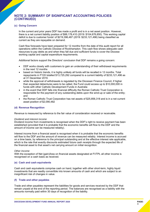#### **(c) Going Concern**

In the current and prior years DDF has made a profit and is in a net asset position. However, there is a net current liability position of \$88,178,410 (2019: \$104,676,850). This working capital deficit is due to customer funds' of \$219,396,487 (2019: \$233,121,496) being classified as current as they are repayable on demand.

Cash flow forecasts have been prepared for 12 months from the date of this audit report for all operations within the Catholic Diocese of Rockhampton. This cash flow shows adequate cash resources to pay debts as and when they fall due and sufficient funds to cover the Diocese working capital and capital expenditure requirements.

Additional factors support the Directors' conclusion that DDF remains a going concern:

- DDF works closely with customers to gain an understanding of their withdrawal requirements in the next 12 months
- based on historic trends, it is highly unlikely all funds will be recalled in 12 months. Total repayments in FY20 totalled \$13,725,292 compared to a current liability of \$233,121,496 as at 31 December 2019.
- while the approval of withdrawals is regulated by the Diocesan Finance Council, if higher than expected debentures were to be called, the Fund could access up to \$10,000,000 in funds with other Catholic Development Funds in Australia
- in the event that DDF falls into financial difficulty the Roman Catholic Trust Corporation is responsible for the payment of any outstanding debts upon the wind-up or sale of the entity; and
- the Roman Catholic Trust Corporation has net assets of \$25,856,318 and is in a net current asset position of \$2,090,482

#### **(d) Revenue Recognition**

Revenue is measured by reference to the fair value of consideration received or receivable.

#### *Dividend and interest income*

Dividend income from investments is recognised when the DDF's right to receive payment has been established (provided that it is probable that the economic benefits will flow to the DDF and the amount of income can be measured reliably).

Interest income from a financial asset is recognised when it is probable that the economic benefits will flow to the DDF and the amount of revenue can be measured reliably. Interest income is accrued on a time basis, by reference to the principal outstanding and at the effective interest rate applicable, which is the rate that exactly discounts estimated future cash receipts through the expected life of the financial asset to that asset's net carrying amount on initial recognition.

#### *Other Income*

With the exception of Net (gain)/loss on financial assets designated at FVTPL all other income is recognised on a cash basis as received.

#### **(e) Cash and cash equivalents**

Cash and cash equivalents comprise cash on hand, together with other short-term, highly liquid investments that are readily convertible into known amounts of cash and which are subject to an insignificant risk of changes in value.

#### **(f) Trade and other payables**

Trade and other payables represent the liabilities for goods and services received by the DDF that remain unpaid at the end of the reporting period. The balances are recognised as a liability with the amounts normally paid within 30 days of recognition of the liability.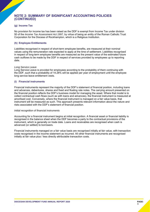#### **(g) Income Tax**

No provision for income tax has been raised as the DDF is exempt from Income Tax under division 50 of the *Income Tax Assessment Act 1997,* by virtue of being an entity of the Roman Catholic Trust Corporation for the Diocese of Rockhampton, which is a Religious Institution.

#### **(h) Employee Entitlements**

Liabilities recognised in respect of short-term employee benefits, are measured at their nominal values using the remuneration rate expected to apply at the time of settlement. Liabilities recognised in respect of long-term employee benefits are measured as the present value of the estimated future cash outflows to be made by the DDF in respect of services provided by employees up to reporting date.

#### *Long Service Leave*

Long Service Leave is provided for employees according to the probability of them continuing with the DDF, such that a probability of 14.28% will be applied per year of employment until the employee long service leave entitlement vests.

#### **(i) Financial instruments**

Financial instruments represent the majority of the DDF's statement of financial position, including loans and advances, debentures, shares and fixed and floating rate notes. The carrying amount presented on the financial position reflects the DDF's business model for managing the asset. Where that model is to collect contractual cash flows (such as with loans and advances), the financial instrument is measured at amortised cost. Conversely, where the financial instrument is managed on a fair value basis, that instrument will be measured as such. This approach presents relevant information about the nature and risks associated with the DDF's statement of financial position.

#### *Initial recognition of financial instruments*

Accounting for a financial instrument begins at initial recognition. A financial asset or financial liability is recognised in the balance sheet when the DDF becomes a party to the contractual provisions of the instrument, which is generally on trade date. Loans and receivables are recognised when cash is advanced (or settled) to borrowers.

Financial instruments managed on a fair value basis are recognised initially at fair value, with transaction costs recognised in the income statement as incurred. All other financial instruments are recognised initially at fair value plus / less directly attributable transaction costs.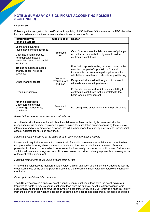#### *Classification*

Following initial recognition is classification. In applying, AASB 9 *Financial Instruments* the DDF classifies its loans, advances, debt instruments and equity instruments as follows:

| <b>Instrument type</b>                                                                                 | <b>Classification</b>                    | Reason                                                                                                                                                                                                        |
|--------------------------------------------------------------------------------------------------------|------------------------------------------|---------------------------------------------------------------------------------------------------------------------------------------------------------------------------------------------------------------|
| <b>Financial assets</b>                                                                                |                                          |                                                                                                                                                                                                               |
| Loans and advances<br>(customer loans and facilities)                                                  | Amortised                                | Cash flows represent solely payments of principal                                                                                                                                                             |
| Debt instruments (bonds,<br>term deposits, notes or<br>securities issued by financial<br>institutions) | cost                                     | and interest, held with the objective to collect<br>contractual cash flows                                                                                                                                    |
| Trading securities (equities,<br>shares, bonds, notes or<br>securities)                                |                                          | Principal purpose is selling or repurchasing in the<br>near term, or part of a portfolio of financial<br>instruments that are managed together and for<br>which there is evidence of short-term profit taking |
| Other financial assets                                                                                 | Fair value<br>through profit<br>and loss | Designated at fair value through profit or loss to<br>eliminate an accounting mismatch                                                                                                                        |
| Hybrid instruments                                                                                     |                                          | Embedded option feature introduces volatility to<br>contractual cash flows that is unrelated to the<br>basic lending arrangement.                                                                             |

| <b>Financial liabilities</b>                                 |                   |                                                     |
|--------------------------------------------------------------|-------------------|-----------------------------------------------------|
| Debentures and other<br>borrowings (debentures,<br>payables) | Amortised<br>cost | Not designated as fair value through profit or loss |

#### *Financial instruments measured at amortised cost*

Amortised cost is the amount at which a financial asset or financial liability is measured at initial recognition minus principal repayments, plus or minus the cumulative amortisation using the effective interest method of any difference between that initial amount and the maturity amount and, for financial assets, adjusted for any loss allowance.

#### *Financial assets measured at fair value through other comprehensive income*

Investment in equity instruments that are not held for trading are measured at fair value through other comprehensive income, where an irrevocable election has been made by management. Amounts presented in other comprehensive income are not subsequently transferred to profit or loss. Dividends on such investments are recognised in profit or loss unless the dividend clearly represents a recovery of part of the cost of the investment.

#### *Financial instruments at fair value through profit or loss*

Where a financial asset is measured at fair value, a credit valuation adjustment is included to reflect the credit worthiness of the counterparty, representing the movement in fair value attributable to changes in credit risk.

#### *Derecognition of financial instruments*

The DDF derecognises a financial asset when the contractual cash flows from the asset expire or it transfers its rights to receive contractual cash flows from the financial asset in a transaction in which substantially all the risks and rewards of ownership are transferred. The DDF removes a financial liability from the balance sheet when the obligation specified in the contract is discharged, cancelled or expires.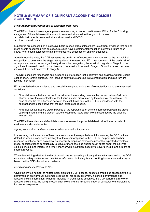#### *Measurement and recognition of expected credit loss*

The DDF applies a three-stage approach to measuring expected credit losses (ECLs) for the following categories of financial assets that are not measured at fair value through profit or loss:

- debt instruments measured at amortised cost and FVOCI
- loan commitments

Exposures are assessed on a collective basis in each stage unless there is sufficient evidence that one or more events associated with an exposure could have a detrimental impact on estimated future cash flows. Where such evidence exists, the exposure is assessed on an individual basis.

At each reporting date, the DDF assesses the credit risk of exposures in comparison to the risk at initial recognition, to determine the stage that applies to the associated ECL measurement. If the credit risk of an exposure has increased significantly since initial recognition, the asset will migrate to Stage 2. If no significant increase in credit risk is observed, the asset will remain in Stage 1. Should an asset become impaired it will be transferred to Stage 3.

The DDF considers reasonable and supportable information that is relevant and available without undue cost or effort, for this purpose. This includes quantitative and qualitative information and also forward looking information.

ECLs are derived from unbiased and probability-weighted estimates of expected loss, and are measured as follows:

- Financial assets that are not credit impaired at the reporting date: as the present value of all cash shortfalls over the expected life of the financial asset discounted by the effective interest rate. The cash shortfall is the difference between the cash flows due to the DDF in accordance with the contract and the cash flows that the DDF expects to receive.
- Financial assets that are credit impaired at the reporting date: as the difference between the gross carrying amount and the present value of estimated future cash flows discounted by the effective interest rate.

The DDF utilises historical default data drawn to assess the potential default risk of loans provided to customers and counterparties.

#### *Inputs, assumptions and techniques used for estimating impairment*

In assessing the impairment of financial assets under the expected credit loss model, the DDF defines default as when is considered unlikely that the credit obligation to the DDF will be paid in full without recourse to actions, such as realisation of security. Impaired exposures under the expected credit loss model consist of loans contractually 90 days or more past due and/or doubt exists about the ability to collect principal and interest in a timely manner with insufficient security to cover principal and arrears of interest revenue.

When determining whether the risk of default has increased significantly since initial recognition, the DDF considers both quantitative and qualitative information including forward looking information and analysis based on the DDF's historical experience.

#### *Calculation of expected credit loss*

Given the limited number of related-party clients the DDF lends to, expected credit loss assessments are performed on an individual customer level taking into account current, historical performance and forward-looking information. When an increase in credit risk is observed, the DDF performs a review of forward-looking data including forecast cash flows and the mitigating effect of collateral to understand its impairment exposure.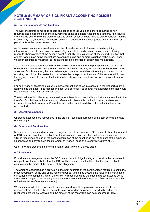#### **(j) Fair value of assets and liabilities**

The DDF measures some of its assets and liabilities at fair value on either a recurring or nonrecurring basis, depending on the requirements of the applicable Accounting Standard. Fair value is the price the economic entity would receive to sell an asset or would have to pay to transfer a liability in an orderly (i.e., unforced) transaction between independent, knowledgeable and willing market participants at the measurement date.

As fair value is a market-based measure, the closest equivalent observable market pricing information is used to determine fair value. Adjustments to market values may be made having regard to characteristics of the specific asset or liability. The fair values of assets and liabilities that are not traded in an active market are determined using one or more valuation techniques. These valuation techniques maximise, to the extent possible, the use of observable market data.

To the extent possible, market information is extracted from either the principal market for the asset or liability (i.e. the market with greatest volume and level of activity for the asset or liability) or, in the absence of such a market, the most advantageous market available to the entity at the end of the reporting period (i.e. the market that maximises the receipts from the sale of the asset or minimises the payments made to transfer the liability, after taking into account transaction costs and transport costs).

For non-financial assets, the fair value measurement also takes into account a market participant's ability to use the asset in its highest and best use or to sell it to another market participant that would use the asset in its highest and best use.

The fair value of liabilities may be valued, where there is no observable market price in relation to the transfer of such financial instrument, by reference to observable market information where such instruments are held in assets. Where this information is not available, other valuation techniques are adopted.

#### **(k) Operating expenses**

Operating expenses are recognised in the profit or loss upon utilisation of the service or at the date of their origin.

#### **(l) Goods and Services Tax**

Revenues, expenses and assets are recognised net of the amount of GST, except where the amount of GST incurred is not recoverable from the Australian Taxation Office. In these circumstances the GST is recognised as part of the cost of acquisition of the asset or as part of an item of the expense. Receivables and payables in the statement of financial position are shown inclusive of GST.

Cash flows are presented in the statement of cash flows on a gross basis.

#### **(m) Provisions**

Provisions are recognised when the DDF has a present obligation (legal or constructive) as a result of a past event, it is probable that the DDF will be required to settle the obligation and a reliable estimate can be made of the amount of the obligation.

The amount recognised as a provision is the best estimate of the consideration required to settle the present obligation at the end of the reporting period, taking into account the risks and uncertainties surrounding the obligation. When a provision is measured using the cash flows estimated to settle the present obligation, its carrying amount is the present value of those cash flows (where the effect of the time value of money is material).

When some or all of the economic benefits required to settle a provision are expected to be recovered from a third party, a receivable is recognised as an asset if it is virtually certain that reimbursement will be received and the amount of the receivable can be measured reliably.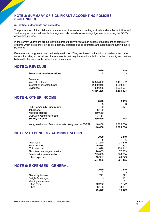#### **(n) Critical judgements and estimates**

The preparation of financial statements requires the use of accounting estimates which, by definition, will seldom equal the actual results. Management also needs to exercise judgement in applying the DDF's accounting policies.

In the current year there are no identified areas that involved a high degree of judgement or complexity, or items which are more likely to be materially adjusted due to estimates and assumptions turning out to be wrong.

Estimates and judgments are continually evaluated. They are based on historical experience and other factors, including expectations of future events that may have a financial impact on the entity and that are believed to be reasonable under the circumstances.

# **NOTE 3: REVENUE**

|                                                                   | 2020      | 2019      |
|-------------------------------------------------------------------|-----------|-----------|
| From continued operations                                         | \$        | \$        |
| Revenue                                                           |           |           |
| Interest on loans                                                 | 3,325,882 | 3,491,582 |
| Interest on invested funds                                        | 2,360,045 | 4,280,387 |
| <b>Dividends</b>                                                  | 1,000,298 | 1,034,624 |
|                                                                   | 6,686,225 | 8,806,593 |
| <b>NOTE 4: OTHER INCOME</b>                                       |           |           |
|                                                                   | 2020      | 2019      |
|                                                                   | \$        |           |
| <b>CDF Community Fund return</b>                                  | 60        | 1,174     |
| Job Keeper                                                        | 86,100    |           |
| Westpac Rebate                                                    | 369,669   |           |
| <b>CCIAM Investment Rebate</b>                                    | 3,761     |           |
| <b>Sundry Income</b>                                              | 459,590   | 1,174     |
| Net (gain)/loss on financial assets designated at FVTPL 1,110,408 |           | 2,725,706 |
|                                                                   | 1,110,408 | 2,725,706 |
| <b>NOTE 5: EXPENSES - ADMINISTRATION</b>                          |           |           |
|                                                                   | 2020      | 2019      |
|                                                                   | \$        |           |
| Audit fees                                                        | 27,240    | 24,240    |
| <b>Bank charges</b>                                               | 16,985    | 17,497    |
| IT & computer                                                     | 141,698   | 124,812   |
| Short term employee benefits                                      | 76,055    | 57,553    |
| Salaries & superannuation                                         | 295,008   | 276,554   |
| Other expenses                                                    | 10,967    | 20,649    |
|                                                                   | 567,953   | 521,305   |
| <b>NOTE 6: EXPENSES - GENERAL</b>                                 |           |           |
|                                                                   | 2020      | 2019      |
|                                                                   | \$        | \$        |
| Electricity & rates                                               | 792       | 1,792     |
| Freight & storage                                                 |           | 111       |
| Meeting expenses                                                  |           | 11        |
| Office rental                                                     | 19,272    | 7,272     |
| Other                                                             | 36,166    | 3,894     |
|                                                                   | 56,230    | 13,080    |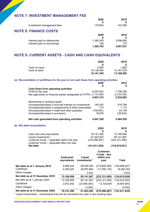# **NOTE 7: INVESTMENT MANAGEMENT FEE**

| 142,269<br>178,654<br>Investment management fees                                                                |
|-----------------------------------------------------------------------------------------------------------------|
|                                                                                                                 |
| <b>NOTE 8: FINANCE COSTS</b>                                                                                    |
| 2020<br>2019                                                                                                    |
| 3,096,856<br>Interest paid on debentures<br>1,395,035<br>Interest paid on borrowings<br>175<br>728<br>3,097,031 |
| 1,395,763                                                                                                       |

# **NOTE 9: CURRENT ASSETS - CASH AND CASH EQUIVALENTS**

|                                                                                            |             |               | 2020<br>\$                       | 2019                          |
|--------------------------------------------------------------------------------------------|-------------|---------------|----------------------------------|-------------------------------|
| Cash on hand                                                                               |             |               | 2,885                            | 1,682                         |
| Cash at bank                                                                               |             |               | 16,138,465                       | 13, 167, 276                  |
|                                                                                            |             |               | 16,141,350                       | 13,168,958                    |
| (a) Reconciliation of profit/loss for the year to net cash flows from operating activities |             |               |                                  |                               |
|                                                                                            |             |               | 2020                             | 2019                          |
|                                                                                            |             |               | \$                               | 5                             |
| Cash flows from operating activities<br>Profit for the year                                |             |               | 6,057,623                        | 7,759,788                     |
| Net (gain)/loss on financial assets designated at FVTPL (1,110,408)                        |             |               |                                  | (2,725,706)                   |
|                                                                                            |             |               | 4,947,215                        | 5,034,082                     |
| Movements in working capital                                                               |             |               |                                  |                               |
| (Increase)/decrease in accrued interest on investments                                     |             |               | 140,342                          | 410,798                       |
| (Increase)/decrease in prepayments & other receivables                                     |             |               | 714                              | 1,113                         |
| (Increase)/decrease in trade and other payables                                            |             |               | (159, 991)                       | 44,195<br>(25, 633)           |
| (Increase)/decrease in provisions                                                          |             |               | 18,978                           |                               |
| Net cash generated from operating activities                                               |             |               | 4,947,258                        | 5,464,555                     |
| (b) Net debt reconciliation                                                                |             |               |                                  |                               |
|                                                                                            |             |               | 2020                             | 2019                          |
|                                                                                            |             |               |                                  |                               |
| Cash and cash equivalents                                                                  |             |               | 16,141,350                       | 13,168,958                    |
| Liquid investments *<br>Customer funds - repayable within one year                         |             |               | 61,443,502<br>(219, 396, 487)    | 85,141,907<br>(233, 121, 496) |
| Customer funds - repayable after one year                                                  |             |               |                                  |                               |
| <b>Net debt</b>                                                                            |             |               | (141, 811, 635)                  | (134, 810, 631)               |
|                                                                                            |             |               | <b>Customer</b>                  |                               |
|                                                                                            | Cash/cash   | Liquid        | <b>Funds - due</b><br>within one |                               |
|                                                                                            | equivalents | investments * | year                             | <b>Total</b>                  |
| Net debt as at 1 January 2019                                                              | 8,888,433   | 56,038,500    | (215, 826, 360)                  | (150, 899, 427)               |
| Cashflows                                                                                  | 4,280,525   | 29,097,864    | (17, 295, 135)                   | 16,083,253                    |
| Other charges                                                                              |             | 5,543         |                                  | 5,543                         |
| Net debt as at 31 December 2019                                                            | 13,168,958  | 85,141,907    | (233, 121, 495)                  | (134, 810, 630)               |
| Net debt as at 1 January 2020                                                              | 13,168,958  | 85,141,907    | (233, 121, 495)                  | (134, 810, 630)               |
| Cashflows                                                                                  | 2,972,392   | (23,695,363)  | 13,725,008                       | (6,997,963)                   |
| Other charges                                                                              |             | (3,042)       |                                  | (3,042)                       |
| Net debt as at 31 December 2020                                                            | 16,141,350  | 61,443,502    | (219, 396, 487)                  | (141, 811, 635)               |
| * Liquid investments – Investments that can be converted into cash in two working days     |             |               |                                  |                               |

\* Liquid investments – Investments that can be converted into cash in two working days.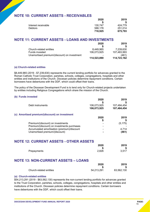# **NOTE 10: CURRENT ASSETS - RECEIVABLES**

|                     | 2020    | 2019    |
|---------------------|---------|---------|
|                     |         |         |
| Interest receivable | 130.747 | 424.779 |
| <b>Debtors</b>      | 588.178 | 251.014 |
|                     | 718,925 | 675.793 |

# **NOTE 11: CURRENT ASSETS - LOANS AND INVESTMENTS**

|                                              | 2020        | 2019        |
|----------------------------------------------|-------------|-------------|
|                                              |             |             |
| Church-related entities                      | 8.449.965   | 7.239.630   |
| <b>Funds invested</b>                        | 106.073.925 | 107.483.993 |
| Unamortised premium/(discount) on investment | -           | (461)       |
|                                              | 114,523,890 | 114,723,162 |

#### **(a) Church-related entities**

\$8,449,965 (2019 - \$7,239,630) represents the current lending portfolio for advances granted to the Roman Catholic Trust Corporation, parishes, schools, colleges, congregations, hospitals and other entities and institutions of the Church. Diocesan policies determine repayment conditions. Certain borrowers have debentures with the DDF, which could offset their loans.

The policy of the Diocesan Development Fund is to lend only for Church-related projects undertaken by entities including Religious Congregations which share the mission of the Church.

#### **(b) Funds invested**

|                  | 2020        | 2019        |
|------------------|-------------|-------------|
|                  |             |             |
| Debt instruments | 106,073,925 | 107,484,454 |
|                  | 106.073.925 | 107,484,454 |
|                  |             |             |

#### **(c) Amortised premium/(discount) on investment**

|                                             | 2020                     | 2019     |
|---------------------------------------------|--------------------------|----------|
|                                             |                          |          |
| Premium/(discount) on investments           |                          | (5, 175) |
| Premium/(discount) on investments purchases | $\overline{\phantom{0}}$ |          |
| Accumulated amortisation (premium)/discount | $\blacksquare$           | 4.714    |
| Unamortised premium/(discount)              | $\blacksquare$           | (461)    |

# **NOTE 12: CURRENT ASSETS - OTHER ASSETS**

|             | 2020<br>۰D | 2019<br>\$ |
|-------------|------------|------------|
|             |            |            |
| Prepayments | 2,826      | 3,517      |

# **NOTE 13: NON-CURRENT ASSETS – LOANS**

|                         | 2020       | 2019       |
|-------------------------|------------|------------|
|                         |            |            |
| Church-related entities | 54.213.291 | 63,562,130 |

#### **(a) Church-related entities**

\$54,213,291 (2019 - \$63,562,130) represents the non-current lending portfolio for advances granted to the Trust Corporation, parishes, schools, colleges, congregations, hospitals and other entities and institutions of the Church. Diocesan policies determine repayment conditions. Certain borrowers have debentures with the DDF, which could offset their loans.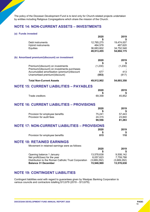The policy of the Diocesan Development Fund is to lend only for Church-related projects undertaken by entities including Religious Congregations which share the mission of the Church.

# **NOTE 14: NON-CURRENT ASSETS – INVESTMENTS**

| (a) Funds invested                                   |             |             |
|------------------------------------------------------|-------------|-------------|
|                                                      | 2020        | 2019        |
|                                                      | S           |             |
| Debt instruments                                     | 12,765,275  | 19,474,007  |
| Hybrid instruments                                   | 464,578     | 467,620     |
| Equities                                             | 36,683,602  | 34,752,548  |
|                                                      | 49,913,455  | 54,694,175  |
|                                                      |             |             |
| (b) Amortised premium/(discount) on investment       |             |             |
|                                                      | 2020        | 2019        |
|                                                      |             |             |
| Premium/(discount) on investments                    | (1,230)     | (1,230)     |
| Premium/(discount) on investments purchases          |             |             |
| Accumulated amortisation (premium)/discount          | 677         | 413         |
| Unamortised premium/(discount)                       | (553)       | (817)       |
| <b>Total Non-Current Assets</b>                      | 49,912,902  | 54,693,358  |
| <b>NOTE 15: CURRENT LIABILITIES - PAYABLES</b>       |             |             |
|                                                      |             |             |
|                                                      | 2020        | 2019        |
|                                                      |             |             |
| <b>Trade creditors</b>                               | 69,358      | 45,852      |
| <b>NOTE 16: CURRENT LIABILITIES - PROVISIONS</b>     |             |             |
|                                                      |             |             |
|                                                      | 2020        | 2019        |
|                                                      | \$          |             |
| Provision for employee benefits                      | 75,241      | 57,443      |
| Provision for audit fees                             | 24,315      | 23,840      |
|                                                      | 99,556      | 81,283      |
| <b>NOTE 17: NON-CURRENT LIABILITIES - PROVISIONS</b> |             |             |
|                                                      |             |             |
|                                                      | 2020        | 2019        |
|                                                      |             |             |
| Provision for employee benefits                      | 815         | 110         |
| <b>NOTE 18: RETAINED EARNINGS</b>                    |             |             |
|                                                      |             |             |
| Movement in retained earnings were as follows:       |             |             |
|                                                      | 2020        | 2019        |
|                                                      |             |             |
| Opening balance 1 January                            | 13,578,638  | 9,508,142   |
| Net profit/(loss) for the year                       | 6,057,623   | 7,759,788   |
| Distribution to the Roman Catholic Trust Corporation | (3,689,292) | (3,689,292) |
| <b>Balance 31 December</b>                           | 15,946,969  | 13,578,638  |
|                                                      |             |             |

# **NOTE 19: CONTINGENT LIABILITIES**

Contingent liabilities exist with regard to guarantees given by Westpac Banking Corporation to various councils and contractors totalling \$13,679 (2019 – \$13,679).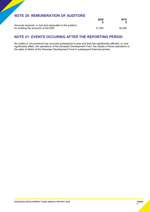# **NOTE 20: REMUNERATION OF AUDITORS**

|                                                         | 2020   | 2019   |
|---------------------------------------------------------|--------|--------|
|                                                         |        |        |
| Amounts received, or due and receivable to the auditors |        |        |
| for auditing the accounts of the DDF                    | 21.500 | 26.209 |

# **NOTE 21: EVENTS OCCURING AFTER THE REPORTING PERIOD**

No matter or circumstance has occurred subsequent to year end that has significantly affected, or may significantly affect, the operations of the Diocesan Development Fund, the results of those operations or the state of affairs of the Diocesan Development Fund in subsequent financial periods.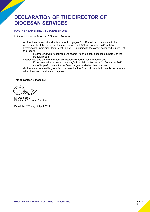# **DECLARATION OF THE DIRECTOR OF DIOCESAN SERVICES**

#### **FOR THE YEAR ENDED 31 DECEMBER 2020**

In the opinion of the Director of Diocesan Services:

(a) the financial report and notes set out on pages 3 to 17 are in accordance with the requirements of the Diocesan Finance Council and ASIC Corporations (Charitable Investment Fundraising) Instrument 2016/813, including to the extent described in note 2 of the report:

(i) complying with Accounting Standards - to the extent described in note 2 of the financial report

Disclosures and other mandatory professional reporting requirements, and

(ii) presents fairly a view of the entity's financial position as at 31 December 2020 and of its performance for the financial year ended on that date, and

(b) there are reasonable grounds to believe that the Fund will be able to pay its debts as and when they become due and payable.

This declaration is made by:

Mr Dean Smith Director of Diocesan Services

Dated this 28<sup>th</sup> day of April 2021.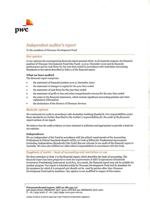

# Independent auditor's report

To the members of Diocesan Development Fund

#### Our opinion

In our opinion the accompanying financial report presents fairly, in all material respects, the financial position of Diocesan Development Fund (the Fund) as at 31 December 2020 and its financial performance and its cash flows for the year then ended in accordance with Australian Accounting Standards to the extent described in Note 2 of the financial report.

#### What we have audited

The financial report comprises:

- . the statement of financial position as at 31 December zozo
- . the statement of changes in equity for the year then ended
- . the statement of cash flows for the year then ended
- . the statement of profit or loss and other comprehensive income for the year then ended
- . the notes to the financial statements, which include significant accounting policies and other explanatory information
- the declaration of the director of Diocesan Services

#### **Basis for opinion**

We conducted our audit in accordance with Australian Auditing Standards. Our responsibilities under those standards are further described in the Auditor's responsibilities for the audit of the financial reporf section of our report.

We believe that the audit evidence we have obtained is sufficient and appropriate to provide a basis for our opinion.

#### Independence

We are independent of the Fund in accordance with the ethical requirements of the Accounting Professional & Ethical Standards Board's APES 110 Code of Ethics for Professional Accountants (including Independence Standards) (the Code) that are relevant to our audit of the financial report in Australia. We have also fulfilled our other ethical responsibilities in accordance with the Code.

#### Emphasis of matter - basis of accounting ond restriction on use

We draw attention to Note 2 in the financial report, which describes the basis of accounting. The financial report has been prepared to meet the requirements of ASIC Corporations (Charitable Investment Fundraising) Instrument zot6/8t9. As a result, the financial report may not be suitable for another purpose. Our report is intended solely for Diocesan Development Fund and its members for the purposes for which it is prepared and should not be used by parties other than Diocesan Development Fund and its members. Our opinion is not modified in respect of this matter.

PricewaterhouseCoopers, ABN 52 780 433 757 48o Queen Street, BRISBANE QLD 4ooo, GPO Box t5o, BRISBANE QLD 4oo1  $T: +61732575000$ ,  $F: +61732575999$ , www.pwc.com.au

Liability limited by a scheme approved under Professional Standards Legislation.